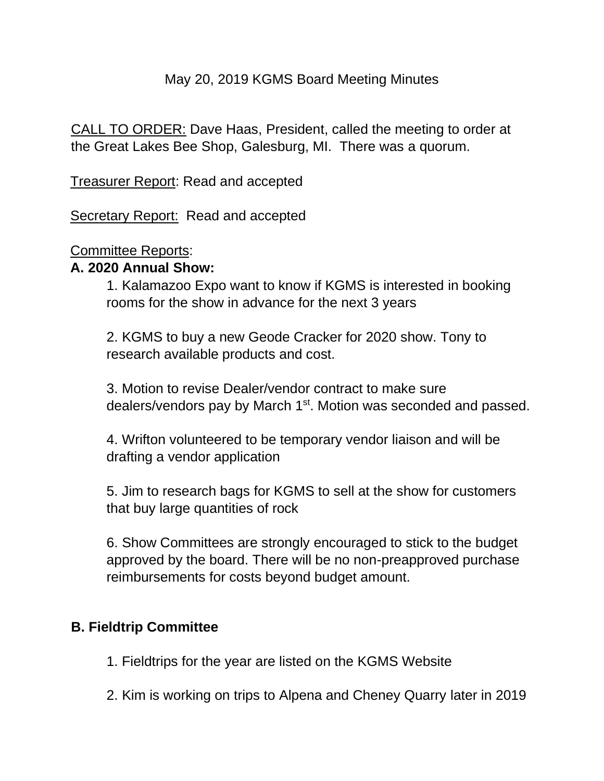## May 20, 2019 KGMS Board Meeting Minutes

CALL TO ORDER: Dave Haas, President, called the meeting to order at the Great Lakes Bee Shop, Galesburg, MI. There was a quorum.

Treasurer Report: Read and accepted

Secretary Report: Read and accepted

#### Committee Reports:

#### **A. 2020 Annual Show:**

1. Kalamazoo Expo want to know if KGMS is interested in booking rooms for the show in advance for the next 3 years

2. KGMS to buy a new Geode Cracker for 2020 show. Tony to research available products and cost.

3. Motion to revise Dealer/vendor contract to make sure dealers/vendors pay by March 1<sup>st</sup>. Motion was seconded and passed.

4. Wrifton volunteered to be temporary vendor liaison and will be drafting a vendor application

5. Jim to research bags for KGMS to sell at the show for customers that buy large quantities of rock

6. Show Committees are strongly encouraged to stick to the budget approved by the board. There will be no non-preapproved purchase reimbursements for costs beyond budget amount.

## **B. Fieldtrip Committee**

1. Fieldtrips for the year are listed on the KGMS Website

2. Kim is working on trips to Alpena and Cheney Quarry later in 2019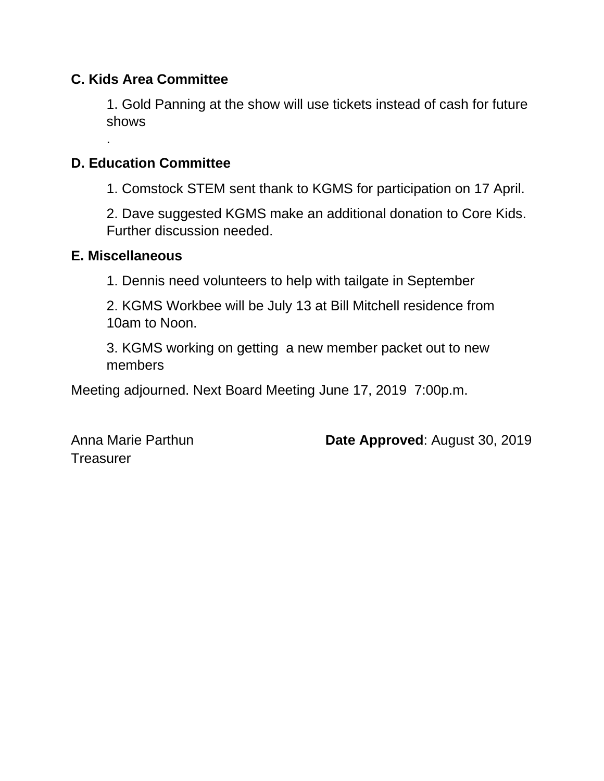# **C. Kids Area Committee**

1. Gold Panning at the show will use tickets instead of cash for future shows

# **D. Education Committee**

1. Comstock STEM sent thank to KGMS for participation on 17 April.

2. Dave suggested KGMS make an additional donation to Core Kids. Further discussion needed.

## **E. Miscellaneous**

.

1. Dennis need volunteers to help with tailgate in September

2. KGMS Workbee will be July 13 at Bill Mitchell residence from 10am to Noon.

3. KGMS working on getting a new member packet out to new members

Meeting adjourned. Next Board Meeting June 17, 2019 7:00p.m.

**Treasurer** 

Anna Marie Parthun **Date Approved**: August 30, 2019